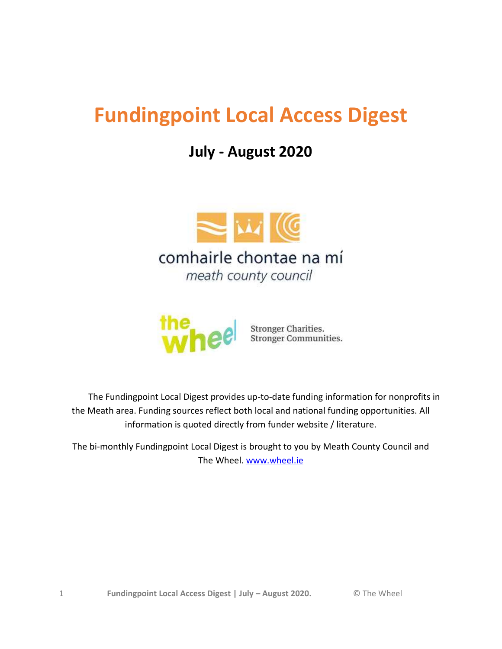# **Fundingpoint Local Access Digest**

## **July - August 2020**





Stronger Charities.<br>Stronger Communities.

 The Fundingpoint Local Digest provides up-to-date funding information for nonprofits in the Meath area. Funding sources reflect both local and national funding opportunities. All information is quoted directly from funder website / literature.

The bi-monthly Fundingpoint Local Digest is brought to you by Meath County Council and The Wheel. [www.wheel.ie](http://www.wheel.ie/)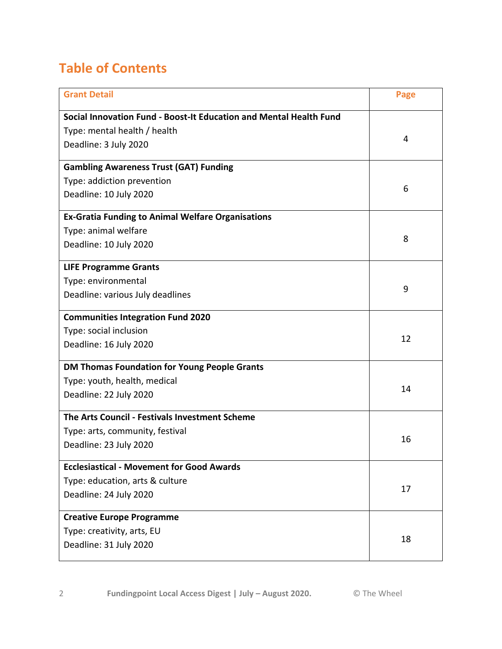## <span id="page-1-0"></span>**Table of Contents**

| <b>Grant Detail</b>                                                | Page |
|--------------------------------------------------------------------|------|
| Social Innovation Fund - Boost-It Education and Mental Health Fund |      |
| Type: mental health / health                                       |      |
| Deadline: 3 July 2020                                              | 4    |
| <b>Gambling Awareness Trust (GAT) Funding</b>                      |      |
| Type: addiction prevention                                         |      |
| Deadline: 10 July 2020                                             | 6    |
| <b>Ex-Gratia Funding to Animal Welfare Organisations</b>           |      |
| Type: animal welfare                                               |      |
| Deadline: 10 July 2020                                             | 8    |
| <b>LIFE Programme Grants</b>                                       |      |
| Type: environmental                                                | 9    |
| Deadline: various July deadlines                                   |      |
| <b>Communities Integration Fund 2020</b>                           |      |
| Type: social inclusion                                             | 12   |
| Deadline: 16 July 2020                                             |      |
| <b>DM Thomas Foundation for Young People Grants</b>                |      |
| Type: youth, health, medical                                       | 14   |
| Deadline: 22 July 2020                                             |      |
| The Arts Council - Festivals Investment Scheme                     |      |
| Type: arts, community, festival                                    | 16   |
| Deadline: 23 July 2020                                             |      |
| <b>Ecclesiastical - Movement for Good Awards</b>                   |      |
| Type: education, arts & culture                                    | 17   |
| Deadline: 24 July 2020                                             |      |
| <b>Creative Europe Programme</b>                                   |      |
| Type: creativity, arts, EU                                         | 18   |
| Deadline: 31 July 2020                                             |      |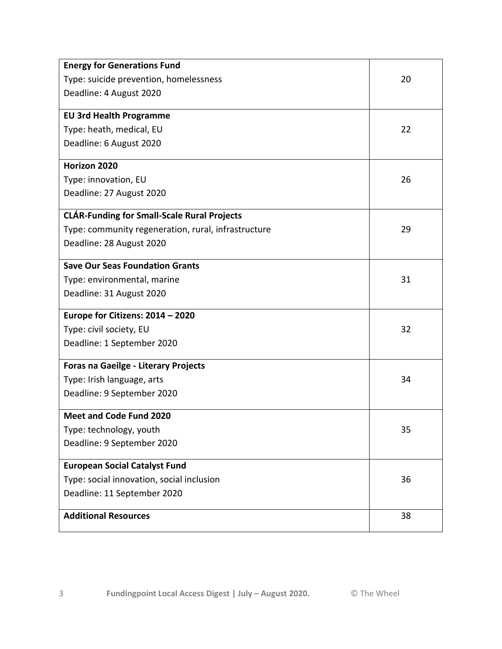| <b>Energy for Generations Fund</b>                  |    |
|-----------------------------------------------------|----|
| Type: suicide prevention, homelessness              | 20 |
| Deadline: 4 August 2020                             |    |
| <b>EU 3rd Health Programme</b>                      |    |
| Type: heath, medical, EU                            | 22 |
|                                                     |    |
| Deadline: 6 August 2020                             |    |
| Horizon 2020                                        |    |
| Type: innovation, EU                                | 26 |
| Deadline: 27 August 2020                            |    |
| <b>CLÁR-Funding for Small-Scale Rural Projects</b>  |    |
| Type: community regeneration, rural, infrastructure | 29 |
| Deadline: 28 August 2020                            |    |
| <b>Save Our Seas Foundation Grants</b>              |    |
|                                                     |    |
| Type: environmental, marine                         | 31 |
| Deadline: 31 August 2020                            |    |
| Europe for Citizens: 2014 - 2020                    |    |
| Type: civil society, EU                             | 32 |
| Deadline: 1 September 2020                          |    |
| <b>Foras na Gaeilge - Literary Projects</b>         |    |
| Type: Irish language, arts                          | 34 |
| Deadline: 9 September 2020                          |    |
| Meet and Code Fund 2020                             |    |
| Type: technology, youth                             | 35 |
| Deadline: 9 September 2020                          |    |
| <b>European Social Catalyst Fund</b>                |    |
| Type: social innovation, social inclusion           | 36 |
| Deadline: 11 September 2020                         |    |
|                                                     |    |
| <b>Additional Resources</b>                         | 38 |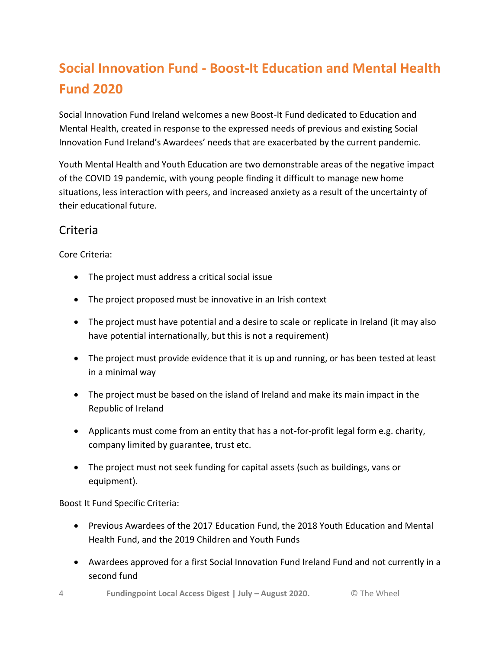## **Social Innovation Fund - Boost-It Education and Mental Health Fund 2020**

Social Innovation Fund Ireland welcomes a new Boost-It Fund dedicated to Education and Mental Health, created in response to the expressed needs of previous and existing Social Innovation Fund Ireland's Awardees' needs that are exacerbated by the current pandemic.

Youth Mental Health and Youth Education are two demonstrable areas of the negative impact of the COVID 19 pandemic, with young people finding it difficult to manage new home situations, less interaction with peers, and increased anxiety as a result of the uncertainty of their educational future.

### Criteria

Core Criteria:

- The project must address a critical social issue
- The project proposed must be innovative in an Irish context
- The project must have potential and a desire to scale or replicate in Ireland (it may also have potential internationally, but this is not a requirement)
- The project must provide evidence that it is up and running, or has been tested at least in a minimal way
- The project must be based on the island of Ireland and make its main impact in the Republic of Ireland
- Applicants must come from an entity that has a not-for-profit legal form e.g. charity, company limited by guarantee, trust etc.
- The project must not seek funding for capital assets (such as buildings, vans or equipment).

Boost It Fund Specific Criteria:

- Previous Awardees of the 2017 Education Fund, the 2018 Youth Education and Mental Health Fund, and the 2019 Children and Youth Funds
- Awardees approved for a first Social Innovation Fund Ireland Fund and not currently in a second fund
- 4 **Fundingpoint Local Access Digest | July – August 2020.** © The Wheel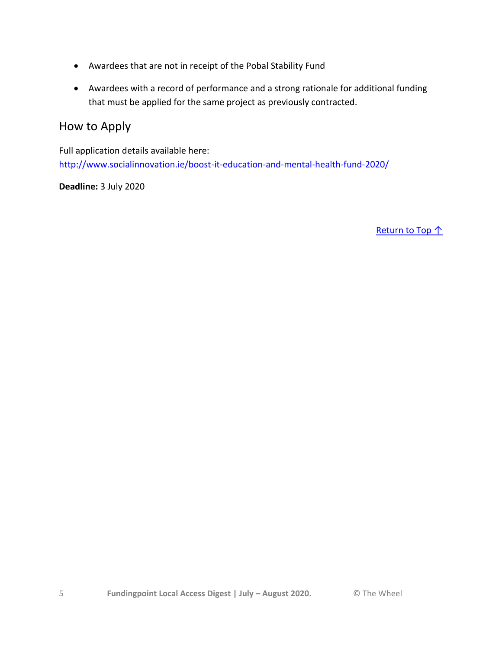- Awardees that are not in receipt of the Pobal Stability Fund
- Awardees with a record of performance and a strong rationale for additional funding that must be applied for the same project as previously contracted.

#### How to Apply

Full application details available here: <http://www.socialinnovation.ie/boost-it-education-and-mental-health-fund-2020/>

**Deadline:** 3 July 2020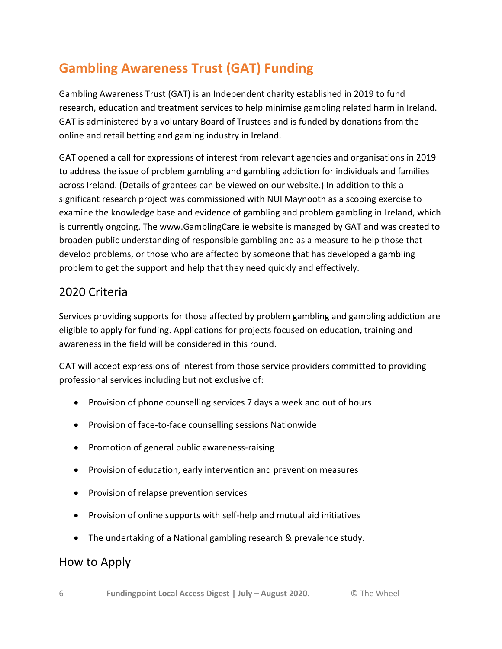## **Gambling Awareness Trust (GAT) Funding**

Gambling Awareness Trust (GAT) is an Independent charity established in 2019 to fund research, education and treatment services to help minimise gambling related harm in Ireland. GAT is administered by a voluntary Board of Trustees and is funded by donations from the online and retail betting and gaming industry in Ireland.

GAT opened a call for expressions of interest from relevant agencies and organisations in 2019 to address the issue of problem gambling and gambling addiction for individuals and families across Ireland. (Details of grantees can be viewed on our website.) In addition to this a significant research project was commissioned with NUI Maynooth as a scoping exercise to examine the knowledge base and evidence of gambling and problem gambling in Ireland, which is currently ongoing. The www.GamblingCare.ie website is managed by GAT and was created to broaden public understanding of responsible gambling and as a measure to help those that develop problems, or those who are affected by someone that has developed a gambling problem to get the support and help that they need quickly and effectively.

#### 2020 Criteria

Services providing supports for those affected by problem gambling and gambling addiction are eligible to apply for funding. Applications for projects focused on education, training and awareness in the field will be considered in this round.

GAT will accept expressions of interest from those service providers committed to providing professional services including but not exclusive of:

- Provision of phone counselling services 7 days a week and out of hours
- Provision of face-to-face counselling sessions Nationwide
- Promotion of general public awareness-raising
- Provision of education, early intervention and prevention measures
- Provision of relapse prevention services
- Provision of online supports with self-help and mutual aid initiatives
- The undertaking of a National gambling research & prevalence study.

### How to Apply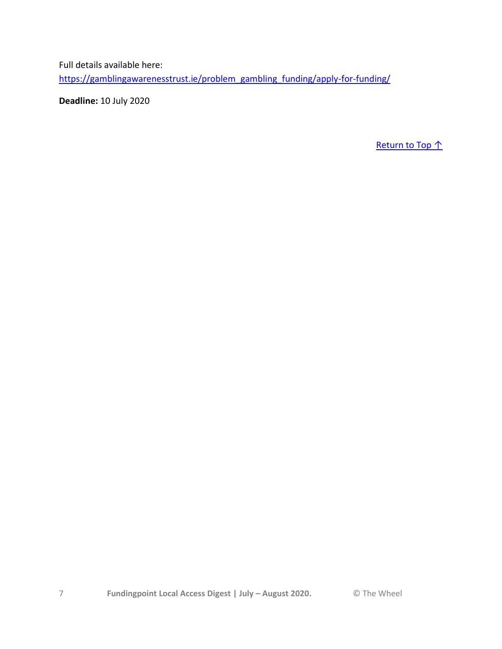Full details available here:

[https://gamblingawarenesstrust.ie/problem\\_gambling\\_funding/apply-for-funding/](https://gamblingawarenesstrust.ie/problem_gambling_funding/apply-for-funding/)

**Deadline:** 10 July 2020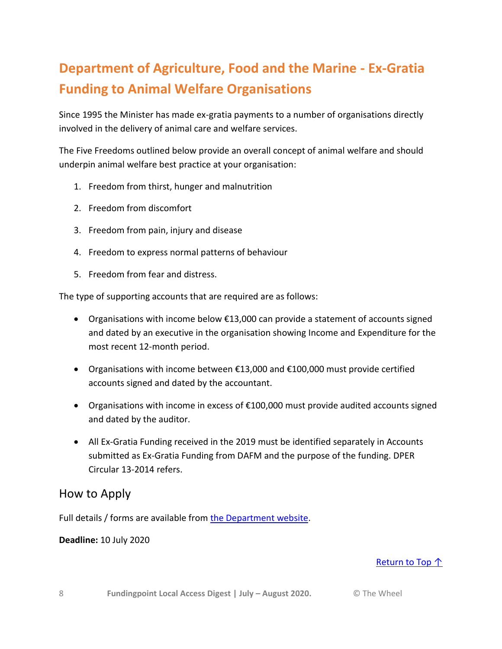## **Department of Agriculture, Food and the Marine - Ex-Gratia Funding to Animal Welfare Organisations**

Since 1995 the Minister has made ex-gratia payments to a number of organisations directly involved in the delivery of animal care and welfare services.

The Five Freedoms outlined below provide an overall concept of animal welfare and should underpin animal welfare best practice at your organisation:

- 1. Freedom from thirst, hunger and malnutrition
- 2. Freedom from discomfort
- 3. Freedom from pain, injury and disease
- 4. Freedom to express normal patterns of behaviour
- 5. Freedom from fear and distress.

The type of supporting accounts that are required are as follows:

- Organisations with income below €13,000 can provide a statement of accounts signed and dated by an executive in the organisation showing Income and Expenditure for the most recent 12-month period.
- Organisations with income between €13,000 and €100,000 must provide certified accounts signed and dated by the accountant.
- Organisations with income in excess of €100,000 must provide audited accounts signed and dated by the auditor.
- All Ex-Gratia Funding received in the 2019 must be identified separately in Accounts submitted as Ex-Gratia Funding from DAFM and the purpose of the funding. DPER Circular 13-2014 refers.

#### How to Apply

Full details / forms are available from [the Department website.](https://www.agriculture.gov.ie/animalhealthwelfare/animalwelfare/fundingtoanimalwelfareorganisations/)

#### **Deadline:** 10 July 2020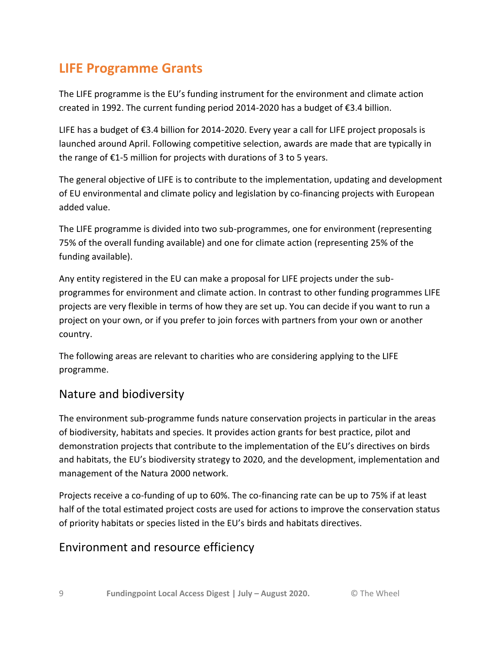## **LIFE Programme Grants**

The LIFE programme is the EU's funding instrument for the environment and climate action created in 1992. The current funding period 2014-2020 has a budget of €3.4 billion.

LIFE has a budget of €3.4 billion for 2014-2020. Every year a call for LIFE project proposals is launched around April. Following competitive selection, awards are made that are typically in the range of €1-5 million for projects with durations of 3 to 5 years.

The general objective of LIFE is to contribute to the implementation, updating and development of EU environmental and climate policy and legislation by co-financing projects with European added value.

The LIFE programme is divided into two sub-programmes, one for environment (representing 75% of the overall funding available) and one for climate action (representing 25% of the funding available).

Any entity registered in the EU can make a proposal for LIFE projects under the subprogrammes for environment and climate action. In contrast to other funding programmes LIFE projects are very flexible in terms of how they are set up. You can decide if you want to run a project on your own, or if you prefer to join forces with partners from your own or another country.

The following areas are relevant to charities who are considering applying to the LIFE programme.

### Nature and biodiversity

The environment sub-programme funds nature conservation projects in particular in the areas of biodiversity, habitats and species. It provides action grants for best practice, pilot and demonstration projects that contribute to the implementation of the EU's directives on birds and habitats, the EU's biodiversity strategy to 2020, and the development, implementation and management of the Natura 2000 network.

Projects receive a co-funding of up to 60%. The co-financing rate can be up to 75% if at least half of the total estimated project costs are used for actions to improve the conservation status of priority habitats or species listed in the EU's birds and habitats directives.

### Environment and resource efficiency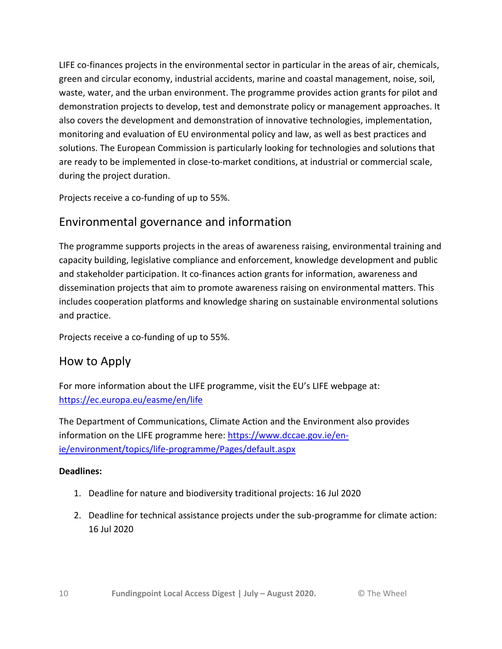LIFE co-finances projects in the environmental sector in particular in the areas of air, chemicals, green and circular economy, industrial accidents, marine and coastal management, noise, soil, waste, water, and the urban environment. The programme provides action grants for pilot and demonstration projects to develop, test and demonstrate policy or management approaches. It also covers the development and demonstration of innovative technologies, implementation, monitoring and evaluation of EU environmental policy and law, as well as best practices and solutions. The European Commission is particularly looking for technologies and solutions that are ready to be implemented in close-to-market conditions, at industrial or commercial scale, during the project duration.

Projects receive a co-funding of up to 55%.

### Environmental governance and information

The programme supports projects in the areas of awareness raising, environmental training and capacity building, legislative compliance and enforcement, knowledge development and public and stakeholder participation. It co-finances action grants for information, awareness and dissemination projects that aim to promote awareness raising on environmental matters. This includes cooperation platforms and knowledge sharing on sustainable environmental solutions and practice.

Projects receive a co-funding of up to 55%.

#### How to Apply

For more information about the LIFE programme, visit the EU's LIFE webpage at: <https://ec.europa.eu/easme/en/life>

The Department of Communications, Climate Action and the Environment also provides information on the LIFE programme here: [https://www.dccae.gov.ie/en](https://www.dccae.gov.ie/en-ie/environment/topics/life-programme/Pages/default.aspx)[ie/environment/topics/life-programme/Pages/default.aspx](https://www.dccae.gov.ie/en-ie/environment/topics/life-programme/Pages/default.aspx)

#### **Deadlines:**

- 1. Deadline for nature and biodiversity traditional projects: 16 Jul 2020
- 2. Deadline for technical assistance projects under the sub-programme for climate action: 16 Jul 2020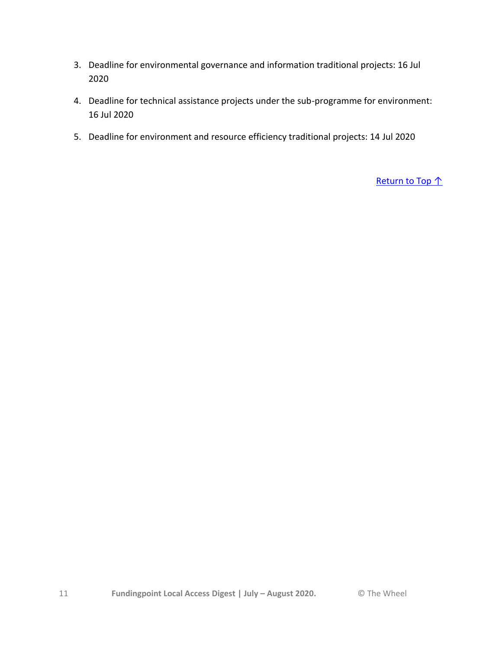- 3. Deadline for environmental governance and information traditional projects: 16 Jul 2020
- 4. Deadline for technical assistance projects under the sub-programme for environment: 16 Jul 2020
- 5. Deadline for environment and resource efficiency traditional projects: 14 Jul 2020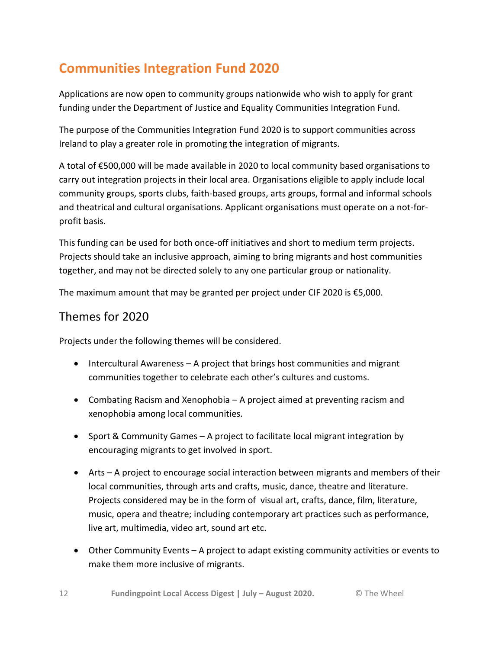## **Communities Integration Fund 2020**

Applications are now open to community groups nationwide who wish to apply for grant funding under the Department of Justice and Equality Communities Integration Fund.

The purpose of the Communities Integration Fund 2020 is to support communities across Ireland to play a greater role in promoting the integration of migrants.

A total of €500,000 will be made available in 2020 to local community based organisations to carry out integration projects in their local area. Organisations eligible to apply include local community groups, sports clubs, faith-based groups, arts groups, formal and informal schools and theatrical and cultural organisations. Applicant organisations must operate on a not-forprofit basis.

This funding can be used for both once-off initiatives and short to medium term projects. Projects should take an inclusive approach, aiming to bring migrants and host communities together, and may not be directed solely to any one particular group or nationality.

The maximum amount that may be granted per project under CIF 2020 is €5,000.

#### Themes for 2020

Projects under the following themes will be considered.

- Intercultural Awareness A project that brings host communities and migrant communities together to celebrate each other's cultures and customs.
- Combating Racism and Xenophobia A project aimed at preventing racism and xenophobia among local communities.
- Sport & Community Games A project to facilitate local migrant integration by encouraging migrants to get involved in sport.
- Arts A project to encourage social interaction between migrants and members of their local communities, through arts and crafts, music, dance, theatre and literature. Projects considered may be in the form of visual art, crafts, dance, film, literature, music, opera and theatre; including contemporary art practices such as performance, live art, multimedia, video art, sound art etc.
- Other Community Events A project to adapt existing community activities or events to make them more inclusive of migrants.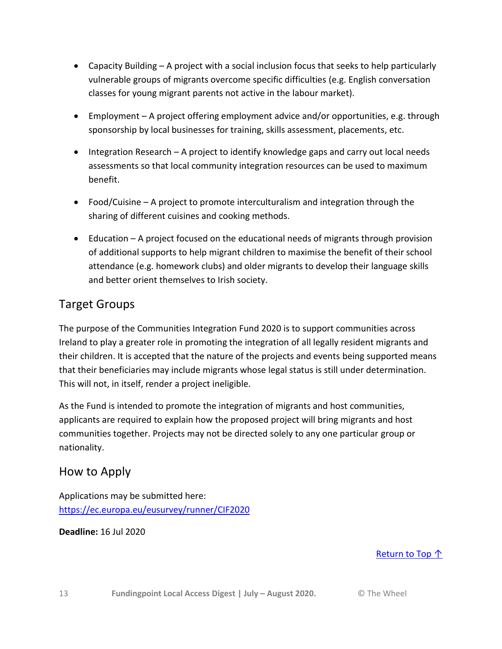- Capacity Building A project with a social inclusion focus that seeks to help particularly vulnerable groups of migrants overcome specific difficulties (e.g. English conversation classes for young migrant parents not active in the labour market).
- Employment A project offering employment advice and/or opportunities, e.g. through sponsorship by local businesses for training, skills assessment, placements, etc.
- Integration Research A project to identify knowledge gaps and carry out local needs assessments so that local community integration resources can be used to maximum benefit.
- Food/Cuisine A project to promote interculturalism and integration through the sharing of different cuisines and cooking methods.
- Education A project focused on the educational needs of migrants through provision of additional supports to help migrant children to maximise the benefit of their school attendance (e.g. homework clubs) and older migrants to develop their language skills and better orient themselves to Irish society.

### Target Groups

The purpose of the Communities Integration Fund 2020 is to support communities across Ireland to play a greater role in promoting the integration of all legally resident migrants and their children. It is accepted that the nature of the projects and events being supported means that their beneficiaries may include migrants whose legal status is still under determination. This will not, in itself, render a project ineligible.

As the Fund is intended to promote the integration of migrants and host communities, applicants are required to explain how the proposed project will bring migrants and host communities together. Projects may not be directed solely to any one particular group or nationality.

### How to Apply

Applications may be submitted here: <https://ec.europa.eu/eusurvey/runner/CIF2020>

**Deadline:** 16 Jul 2020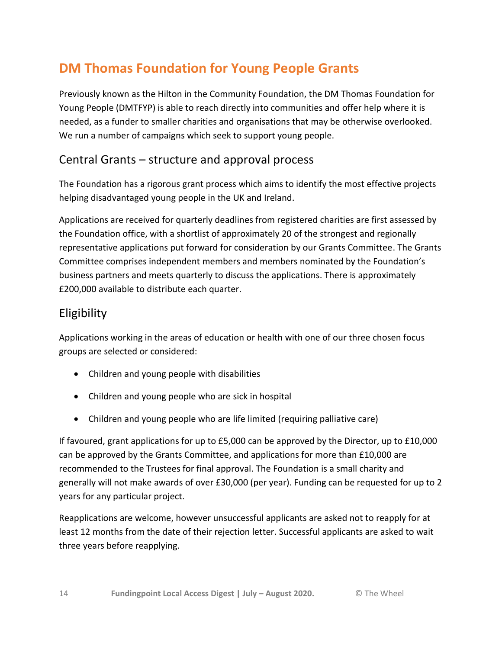## **DM Thomas Foundation for Young People Grants**

Previously known as the Hilton in the Community Foundation, the DM Thomas Foundation for Young People (DMTFYP) is able to reach directly into communities and offer help where it is needed, as a funder to smaller charities and organisations that may be otherwise overlooked. We run a number of campaigns which seek to support young people.

### Central Grants – structure and approval process

The Foundation has a rigorous grant process which aims to identify the most effective projects helping disadvantaged young people in the UK and Ireland.

Applications are received for quarterly deadlines from registered charities are first assessed by the Foundation office, with a shortlist of approximately 20 of the strongest and regionally representative applications put forward for consideration by our Grants Committee. The Grants Committee comprises independent members and members nominated by the Foundation's business partners and meets quarterly to discuss the applications. There is approximately £200,000 available to distribute each quarter.

### Eligibility

Applications working in the areas of education or health with one of our three chosen focus groups are selected or considered:

- Children and young people with disabilities
- Children and young people who are sick in hospital
- Children and young people who are life limited (requiring palliative care)

If favoured, grant applications for up to £5,000 can be approved by the Director, up to £10,000 can be approved by the Grants Committee, and applications for more than £10,000 are recommended to the Trustees for final approval. The Foundation is a small charity and generally will not make awards of over £30,000 (per year). Funding can be requested for up to 2 years for any particular project.

Reapplications are welcome, however unsuccessful applicants are asked not to reapply for at least 12 months from the date of their rejection letter. Successful applicants are asked to wait three years before reapplying.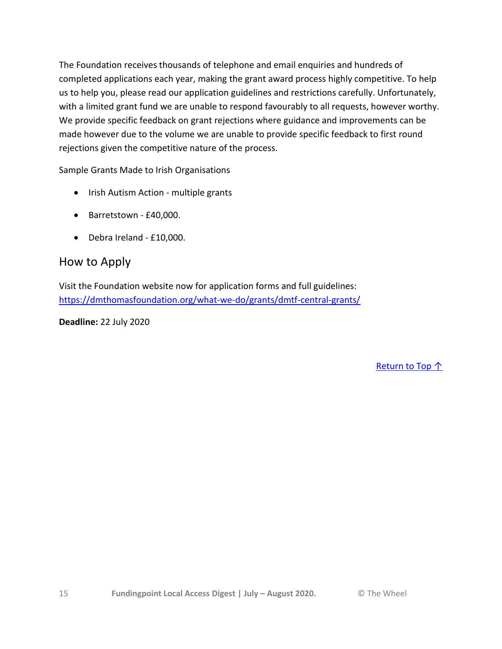The Foundation receives thousands of telephone and email enquiries and hundreds of completed applications each year, making the grant award process highly competitive. To help us to help you, please read our application guidelines and restrictions carefully. Unfortunately, with a limited grant fund we are unable to respond favourably to all requests, however worthy. We provide specific feedback on grant rejections where guidance and improvements can be made however due to the volume we are unable to provide specific feedback to first round rejections given the competitive nature of the process.

Sample Grants Made to Irish Organisations

- Irish Autism Action multiple grants
- Barretstown £40,000.
- Debra Ireland £10,000.

#### How to Apply

Visit the Foundation website now for application forms and full guidelines: <https://dmthomasfoundation.org/what-we-do/grants/dmtf-central-grants/>

**Deadline:** 22 July 2020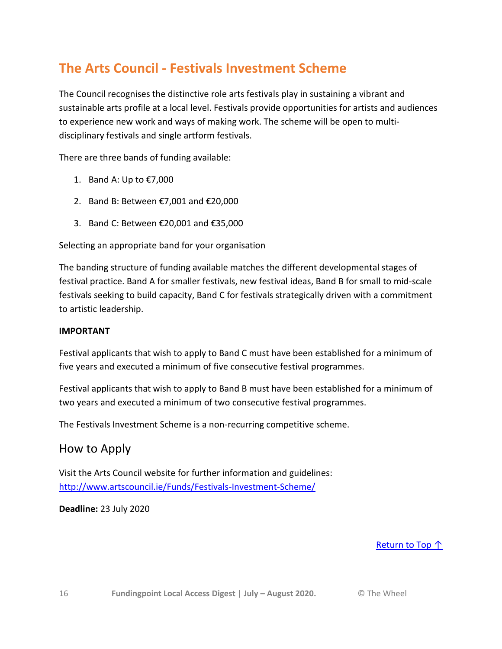## **The Arts Council - Festivals Investment Scheme**

The Council recognises the distinctive role arts festivals play in sustaining a vibrant and sustainable arts profile at a local level. Festivals provide opportunities for artists and audiences to experience new work and ways of making work. The scheme will be open to multidisciplinary festivals and single artform festivals.

There are three bands of funding available:

- 1. Band A: Up to €7,000
- 2. Band B: Between €7,001 and €20,000
- 3. Band C: Between €20,001 and €35,000

Selecting an appropriate band for your organisation

The banding structure of funding available matches the different developmental stages of festival practice. Band A for smaller festivals, new festival ideas, Band B for small to mid-scale festivals seeking to build capacity, Band C for festivals strategically driven with a commitment to artistic leadership.

#### **IMPORTANT**

Festival applicants that wish to apply to Band C must have been established for a minimum of five years and executed a minimum of five consecutive festival programmes.

Festival applicants that wish to apply to Band B must have been established for a minimum of two years and executed a minimum of two consecutive festival programmes.

The Festivals Investment Scheme is a non-recurring competitive scheme.

#### How to Apply

Visit the Arts Council website for further information and guidelines: <http://www.artscouncil.ie/Funds/Festivals-Investment-Scheme/>

**Deadline:** 23 July 2020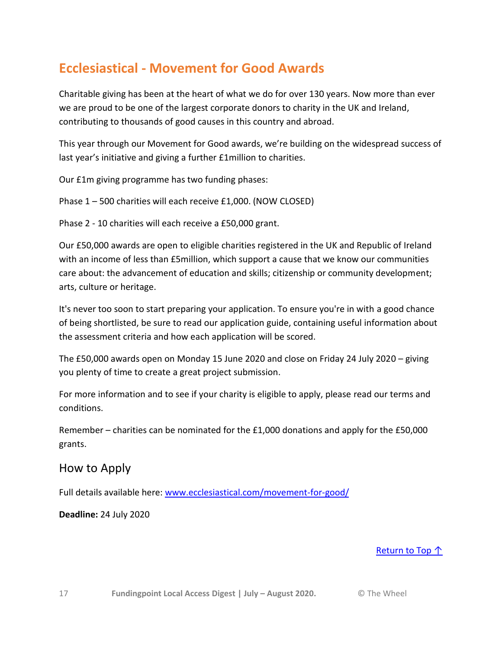## **Ecclesiastical - Movement for Good Awards**

Charitable giving has been at the heart of what we do for over 130 years. Now more than ever we are proud to be one of the largest corporate donors to charity in the UK and Ireland, contributing to thousands of good causes in this country and abroad.

This year through our Movement for Good awards, we're building on the widespread success of last year's initiative and giving a further £1million to charities.

Our £1m giving programme has two funding phases:

Phase 1 – 500 charities will each receive £1,000. (NOW CLOSED)

Phase 2 - 10 charities will each receive a £50,000 grant.

Our £50,000 awards are open to eligible charities registered in the UK and Republic of Ireland with an income of less than £5million, which support a cause that we know our communities care about: the advancement of education and skills; citizenship or community development; arts, culture or heritage.

It's never too soon to start preparing your application. To ensure you're in with a good chance of being shortlisted, be sure to read our application guide, containing useful information about the assessment criteria and how each application will be scored.

The £50,000 awards open on Monday 15 June 2020 and close on Friday 24 July 2020 – giving you plenty of time to create a great project submission.

For more information and to see if your charity is eligible to apply, please read our terms and conditions.

Remember – charities can be nominated for the £1,000 donations and apply for the £50,000 grants.

#### How to Apply

Full details available here: [www.ecclesiastical.com/movement-for-good/](http://www.ecclesiastical.com/movement-for-good/)

**Deadline:** 24 July 2020

#### [Return to Top ↑](#page-1-0)

17 **Fundingpoint Local Access Digest | July – August 2020.** © The Wheel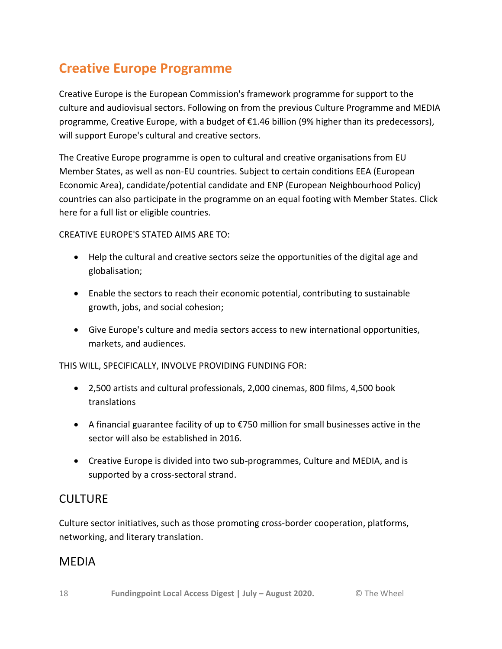## **Creative Europe Programme**

Creative Europe is the European Commission's framework programme for support to the culture and audiovisual sectors. Following on from the previous Culture Programme and MEDIA programme, Creative Europe, with a budget of €1.46 billion (9% higher than its predecessors), will support Europe's cultural and creative sectors.

The Creative Europe programme is open to cultural and creative organisations from EU Member States, as well as non-EU countries. Subject to certain conditions EEA (European Economic Area), candidate/potential candidate and ENP (European Neighbourhood Policy) countries can also participate in the programme on an equal footing with Member States. Click here for a full list or eligible countries.

CREATIVE EUROPE'S STATED AIMS ARE TO:

- Help the cultural and creative sectors seize the opportunities of the digital age and globalisation;
- Enable the sectors to reach their economic potential, contributing to sustainable growth, jobs, and social cohesion;
- Give Europe's culture and media sectors access to new international opportunities, markets, and audiences.

THIS WILL, SPECIFICALLY, INVOLVE PROVIDING FUNDING FOR:

- 2,500 artists and cultural professionals, 2,000 cinemas, 800 films, 4,500 book translations
- A financial guarantee facility of up to €750 million for small businesses active in the sector will also be established in 2016.
- Creative Europe is divided into two sub-programmes, Culture and MEDIA, and is supported by a cross-sectoral strand.

### **CULTURE**

Culture sector initiatives, such as those promoting cross-border cooperation, platforms, networking, and literary translation.

#### MEDIA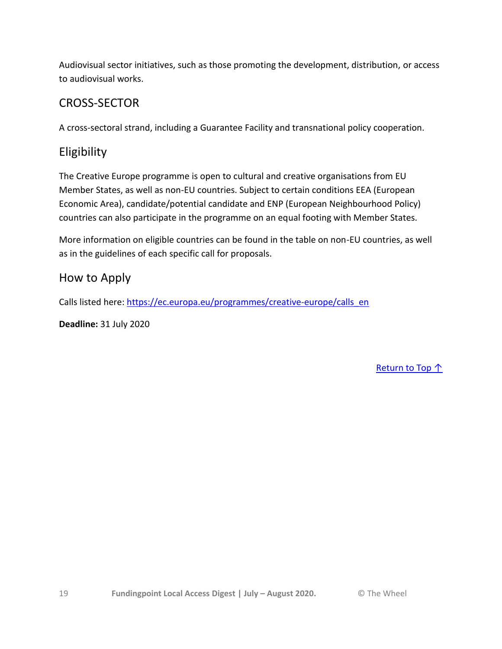Audiovisual sector initiatives, such as those promoting the development, distribution, or access to audiovisual works.

### CROSS-SECTOR

A cross-sectoral strand, including a Guarantee Facility and transnational policy cooperation.

### Eligibility

The Creative Europe programme is open to cultural and creative organisations from EU Member States, as well as non-EU countries. Subject to certain conditions EEA (European Economic Area), candidate/potential candidate and ENP (European Neighbourhood Policy) countries can also participate in the programme on an equal footing with Member States.

More information on eligible countries can be found in the table on non-EU countries, as well as in the guidelines of each specific call for proposals.

### How to Apply

Calls listed here: [https://ec.europa.eu/programmes/creative-europe/calls\\_en](https://ec.europa.eu/programmes/creative-europe/calls_en)

**Deadline:** 31 July 2020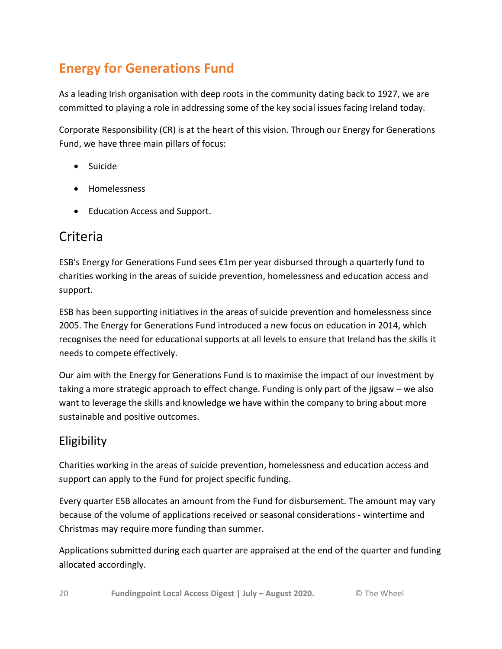## **Energy for Generations Fund**

As a leading Irish organisation with deep roots in the community dating back to 1927, we are committed to playing a role in addressing some of the key social issues facing Ireland today.

Corporate Responsibility (CR) is at the heart of this vision. Through our Energy for Generations Fund, we have three main pillars of focus:

- Suicide
- **•** Homelessness
- Education Access and Support.

## Criteria

ESB's Energy for Generations Fund sees €1m per year disbursed through a quarterly fund to charities working in the areas of suicide prevention, homelessness and education access and support.

ESB has been supporting initiatives in the areas of suicide prevention and homelessness since 2005. The Energy for Generations Fund introduced a new focus on education in 2014, which recognises the need for educational supports at all levels to ensure that Ireland has the skills it needs to compete effectively.

Our aim with the Energy for Generations Fund is to maximise the impact of our investment by taking a more strategic approach to effect change. Funding is only part of the jigsaw – we also want to leverage the skills and knowledge we have within the company to bring about more sustainable and positive outcomes.

### Eligibility

Charities working in the areas of suicide prevention, homelessness and education access and support can apply to the Fund for project specific funding.

Every quarter ESB allocates an amount from the Fund for disbursement. The amount may vary because of the volume of applications received or seasonal considerations - wintertime and Christmas may require more funding than summer.

Applications submitted during each quarter are appraised at the end of the quarter and funding allocated accordingly.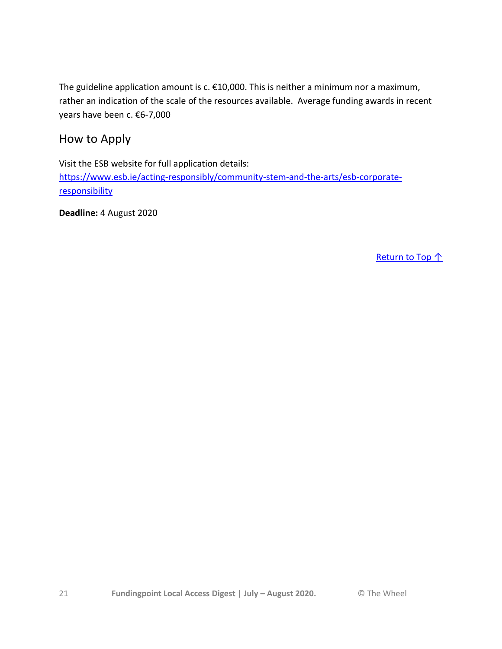The guideline application amount is c. €10,000. This is neither a minimum nor a maximum, rather an indication of the scale of the resources available. Average funding awards in recent years have been c. €6-7,000

How to Apply

Visit the ESB website for full application details: [https://www.esb.ie/acting-responsibly/community-stem-and-the-arts/esb-corporate](https://www.esb.ie/acting-responsibly/community-stem-and-the-arts/esb-corporate-responsibility)[responsibility](https://www.esb.ie/acting-responsibly/community-stem-and-the-arts/esb-corporate-responsibility)

**Deadline:** 4 August 2020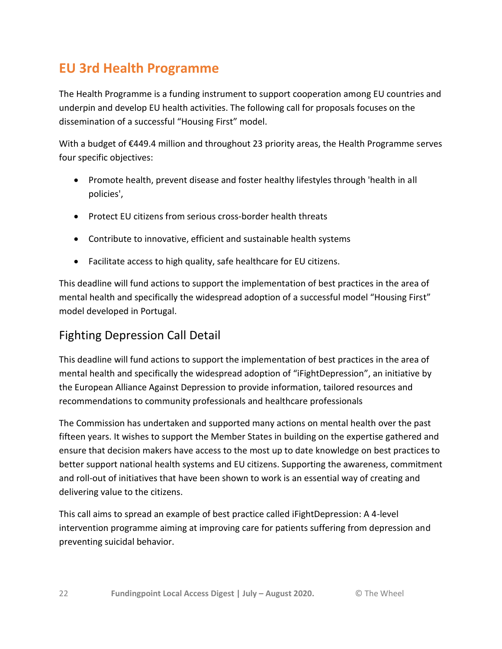## **EU 3rd Health Programme**

The Health Programme is a funding instrument to support cooperation among EU countries and underpin and develop EU health activities. The following call for proposals focuses on the dissemination of a successful "Housing First" model.

With a budget of €449.4 million and throughout 23 priority areas, the Health Programme serves four specific objectives:

- Promote health, prevent disease and foster healthy lifestyles through 'health in all policies',
- Protect EU citizens from serious cross-border health threats
- Contribute to innovative, efficient and sustainable health systems
- Facilitate access to high quality, safe healthcare for EU citizens.

This deadline will fund actions to support the implementation of best practices in the area of mental health and specifically the widespread adoption of a successful model "Housing First" model developed in Portugal.

### Fighting Depression Call Detail

This deadline will fund actions to support the implementation of best practices in the area of mental health and specifically the widespread adoption of "iFightDepression", an initiative by the European Alliance Against Depression to provide information, tailored resources and recommendations to community professionals and healthcare professionals

The Commission has undertaken and supported many actions on mental health over the past fifteen years. It wishes to support the Member States in building on the expertise gathered and ensure that decision makers have access to the most up to date knowledge on best practices to better support national health systems and EU citizens. Supporting the awareness, commitment and roll-out of initiatives that have been shown to work is an essential way of creating and delivering value to the citizens.

This call aims to spread an example of best practice called iFightDepression: A 4-level intervention programme aiming at improving care for patients suffering from depression and preventing suicidal behavior.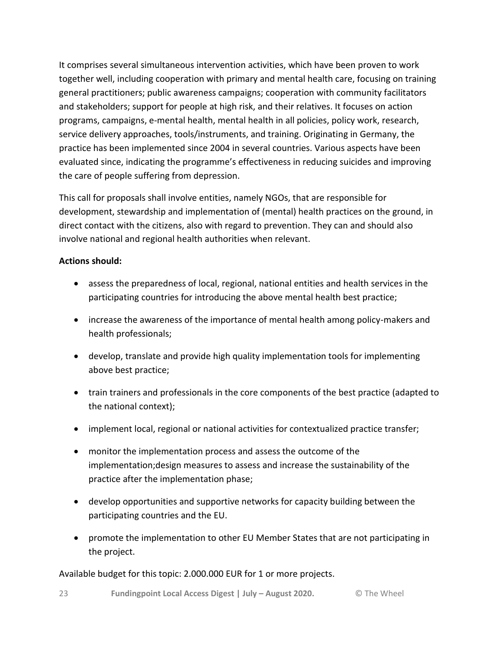It comprises several simultaneous intervention activities, which have been proven to work together well, including cooperation with primary and mental health care, focusing on training general practitioners; public awareness campaigns; cooperation with community facilitators and stakeholders; support for people at high risk, and their relatives. It focuses on action programs, campaigns, e-mental health, mental health in all policies, policy work, research, service delivery approaches, tools/instruments, and training. Originating in Germany, the practice has been implemented since 2004 in several countries. Various aspects have been evaluated since, indicating the programme's effectiveness in reducing suicides and improving the care of people suffering from depression.

This call for proposals shall involve entities, namely NGOs, that are responsible for development, stewardship and implementation of (mental) health practices on the ground, in direct contact with the citizens, also with regard to prevention. They can and should also involve national and regional health authorities when relevant.

#### **Actions should:**

- assess the preparedness of local, regional, national entities and health services in the participating countries for introducing the above mental health best practice;
- increase the awareness of the importance of mental health among policy-makers and health professionals;
- develop, translate and provide high quality implementation tools for implementing above best practice;
- train trainers and professionals in the core components of the best practice (adapted to the national context);
- implement local, regional or national activities for contextualized practice transfer;
- monitor the implementation process and assess the outcome of the implementation;design measures to assess and increase the sustainability of the practice after the implementation phase;
- develop opportunities and supportive networks for capacity building between the participating countries and the EU.
- promote the implementation to other EU Member States that are not participating in the project.

#### Available budget for this topic: 2.000.000 EUR for 1 or more projects.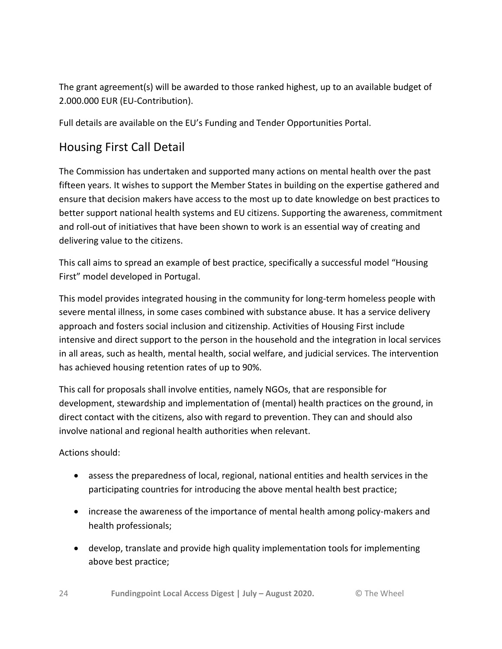The grant agreement(s) will be awarded to those ranked highest, up to an available budget of 2.000.000 EUR (EU-Contribution).

Full details are available on the EU's Funding and Tender Opportunities Portal.

### Housing First Call Detail

The Commission has undertaken and supported many actions on mental health over the past fifteen years. It wishes to support the Member States in building on the expertise gathered and ensure that decision makers have access to the most up to date knowledge on best practices to better support national health systems and EU citizens. Supporting the awareness, commitment and roll-out of initiatives that have been shown to work is an essential way of creating and delivering value to the citizens.

This call aims to spread an example of best practice, specifically a successful model "Housing First" model developed in Portugal.

This model provides integrated housing in the community for long-term homeless people with severe mental illness, in some cases combined with substance abuse. It has a service delivery approach and fosters social inclusion and citizenship. Activities of Housing First include intensive and direct support to the person in the household and the integration in local services in all areas, such as health, mental health, social welfare, and judicial services. The intervention has achieved housing retention rates of up to 90%.

This call for proposals shall involve entities, namely NGOs, that are responsible for development, stewardship and implementation of (mental) health practices on the ground, in direct contact with the citizens, also with regard to prevention. They can and should also involve national and regional health authorities when relevant.

Actions should:

- assess the preparedness of local, regional, national entities and health services in the participating countries for introducing the above mental health best practice;
- increase the awareness of the importance of mental health among policy-makers and health professionals;
- develop, translate and provide high quality implementation tools for implementing above best practice;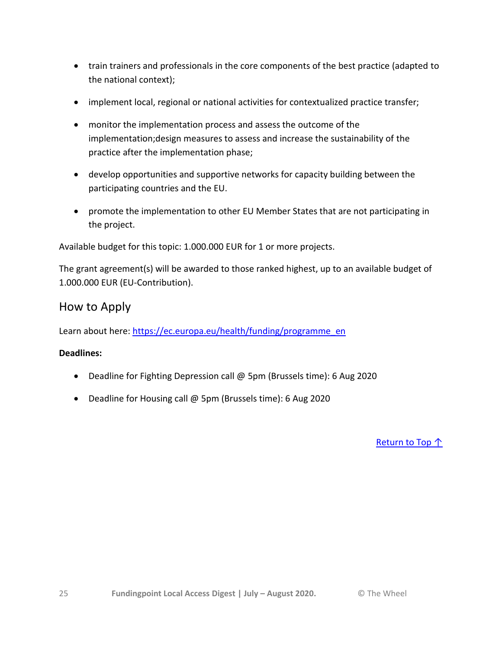- train trainers and professionals in the core components of the best practice (adapted to the national context);
- implement local, regional or national activities for contextualized practice transfer;
- monitor the implementation process and assess the outcome of the implementation;design measures to assess and increase the sustainability of the practice after the implementation phase;
- develop opportunities and supportive networks for capacity building between the participating countries and the EU.
- promote the implementation to other EU Member States that are not participating in the project.

Available budget for this topic: 1.000.000 EUR for 1 or more projects.

The grant agreement(s) will be awarded to those ranked highest, up to an available budget of 1.000.000 EUR (EU-Contribution).

#### How to Apply

Learn about here[: https://ec.europa.eu/health/funding/programme\\_en](https://ec.europa.eu/health/funding/programme_en)

#### **Deadlines:**

- Deadline for Fighting Depression call @ 5pm (Brussels time): 6 Aug 2020
- Deadline for Housing call @ 5pm (Brussels time): 6 Aug 2020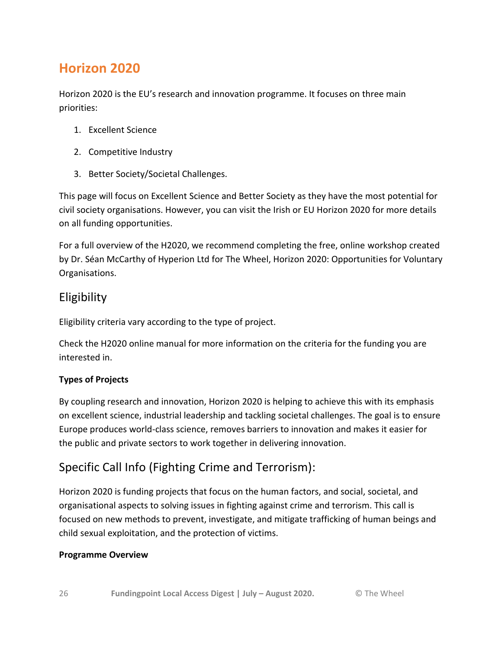## **Horizon 2020**

Horizon 2020 is the EU's research and innovation programme. It focuses on three main priorities:

- 1. Excellent Science
- 2. Competitive Industry
- 3. Better Society/Societal Challenges.

This page will focus on Excellent Science and Better Society as they have the most potential for civil society organisations. However, you can visit the Irish or EU Horizon 2020 for more details on all funding opportunities.

For a full overview of the H2020, we recommend completing the free, online workshop created by Dr. Séan McCarthy of Hyperion Ltd for The Wheel, Horizon 2020: Opportunities for Voluntary Organisations.

#### **Eligibility**

Eligibility criteria vary according to the type of project.

Check the H2020 online manual for more information on the criteria for the funding you are interested in.

#### **Types of Projects**

By coupling research and innovation, Horizon 2020 is helping to achieve this with its emphasis on excellent science, industrial leadership and tackling societal challenges. The goal is to ensure Europe produces world-class science, removes barriers to innovation and makes it easier for the public and private sectors to work together in delivering innovation.

### Specific Call Info (Fighting Crime and Terrorism):

Horizon 2020 is funding projects that focus on the human factors, and social, societal, and organisational aspects to solving issues in fighting against crime and terrorism. This call is focused on new methods to prevent, investigate, and mitigate trafficking of human beings and child sexual exploitation, and the protection of victims.

#### **Programme Overview**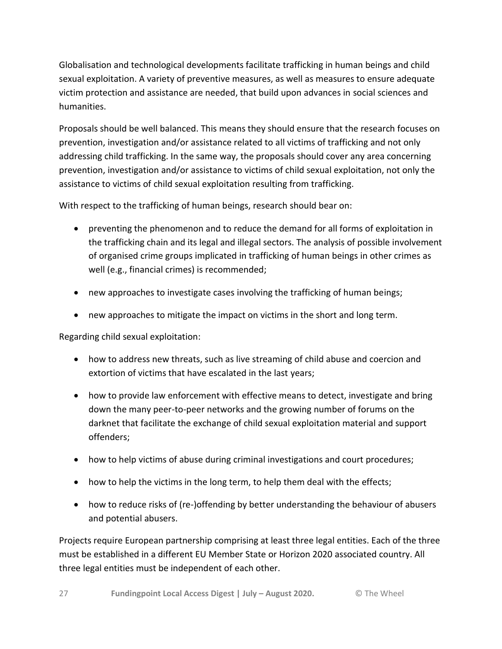Globalisation and technological developments facilitate trafficking in human beings and child sexual exploitation. A variety of preventive measures, as well as measures to ensure adequate victim protection and assistance are needed, that build upon advances in social sciences and humanities.

Proposals should be well balanced. This means they should ensure that the research focuses on prevention, investigation and/or assistance related to all victims of trafficking and not only addressing child trafficking. In the same way, the proposals should cover any area concerning prevention, investigation and/or assistance to victims of child sexual exploitation, not only the assistance to victims of child sexual exploitation resulting from trafficking.

With respect to the trafficking of human beings, research should bear on:

- preventing the phenomenon and to reduce the demand for all forms of exploitation in the trafficking chain and its legal and illegal sectors. The analysis of possible involvement of organised crime groups implicated in trafficking of human beings in other crimes as well (e.g., financial crimes) is recommended;
- new approaches to investigate cases involving the trafficking of human beings;
- new approaches to mitigate the impact on victims in the short and long term.

Regarding child sexual exploitation:

- how to address new threats, such as live streaming of child abuse and coercion and extortion of victims that have escalated in the last years;
- how to provide law enforcement with effective means to detect, investigate and bring down the many peer-to-peer networks and the growing number of forums on the darknet that facilitate the exchange of child sexual exploitation material and support offenders;
- how to help victims of abuse during criminal investigations and court procedures;
- how to help the victims in the long term, to help them deal with the effects;
- how to reduce risks of (re-)offending by better understanding the behaviour of abusers and potential abusers.

Projects require European partnership comprising at least three legal entities. Each of the three must be established in a different EU Member State or Horizon 2020 associated country. All three legal entities must be independent of each other.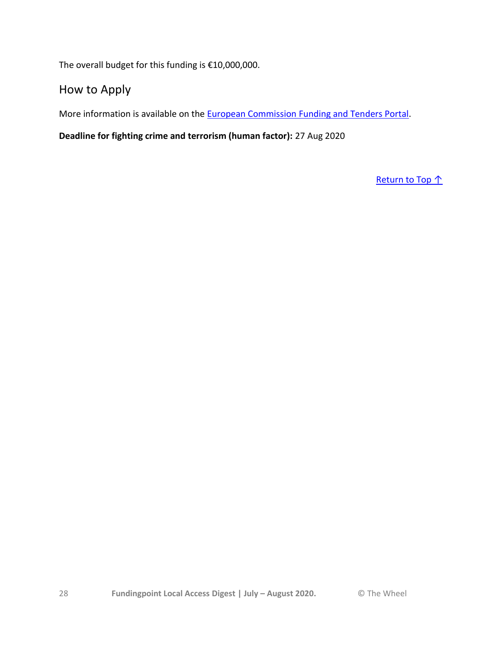The overall budget for this funding is €10,000,000.

#### How to Apply

More information is available on the [European Commission Funding and Tenders Portal.](https://ec.europa.eu/info/funding-tenders/opportunities/portal/screen/opportunities/topic-details/su-fct01-2018-2019-2020;freeTextSearchKeyword=;typeCodes=1;statusCodes=-,31094502;programCode=H2020;programDivisionCode=31047824,31047825,31047826,31047830,31047836,31047894,31047916,31047956,31047972,31047995,31048010,31048019,31048026;focusAreaCode=null;crossCuttingPriorityCode=null;callCode=Default;sortQuery=submissionStatus;orderBy=asc;onlyTenders=false;topicListKey=topicSearchTablePageState)

**Deadline for fighting crime and terrorism (human factor):** 27 Aug 2020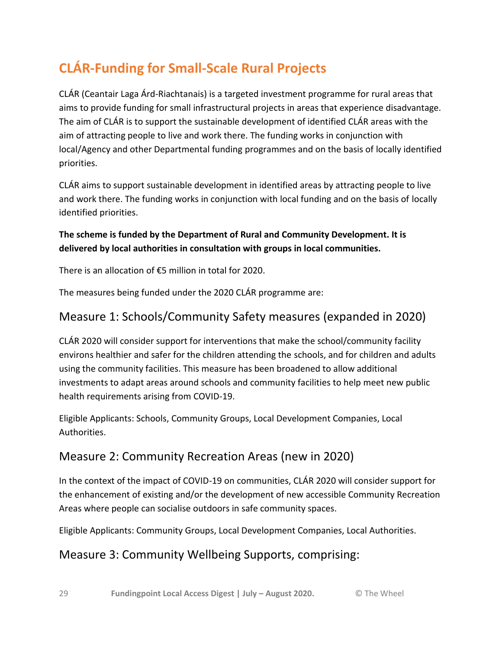## **CLÁR-Funding for Small-Scale Rural Projects**

CLÁR (Ceantair Laga Árd-Riachtanais) is a targeted investment programme for rural areas that aims to provide funding for small infrastructural projects in areas that experience disadvantage. The aim of CLÁR is to support the sustainable development of identified CLÁR areas with the aim of attracting people to live and work there. The funding works in conjunction with local/Agency and other Departmental funding programmes and on the basis of locally identified priorities.

CLÁR aims to support sustainable development in identified areas by attracting people to live and work there. The funding works in conjunction with local funding and on the basis of locally identified priorities.

#### **The scheme is funded by the Department of Rural and Community Development. It is delivered by local authorities in consultation with groups in local communities.**

There is an allocation of €5 million in total for 2020.

The measures being funded under the 2020 CLÁR programme are:

### Measure 1: Schools/Community Safety measures (expanded in 2020)

CLÁR 2020 will consider support for interventions that make the school/community facility environs healthier and safer for the children attending the schools, and for children and adults using the community facilities. This measure has been broadened to allow additional investments to adapt areas around schools and community facilities to help meet new public health requirements arising from COVID-19.

Eligible Applicants: Schools, Community Groups, Local Development Companies, Local Authorities.

### Measure 2: Community Recreation Areas (new in 2020)

In the context of the impact of COVID-19 on communities, CLÁR 2020 will consider support for the enhancement of existing and/or the development of new accessible Community Recreation Areas where people can socialise outdoors in safe community spaces.

Eligible Applicants: Community Groups, Local Development Companies, Local Authorities.

### Measure 3: Community Wellbeing Supports, comprising: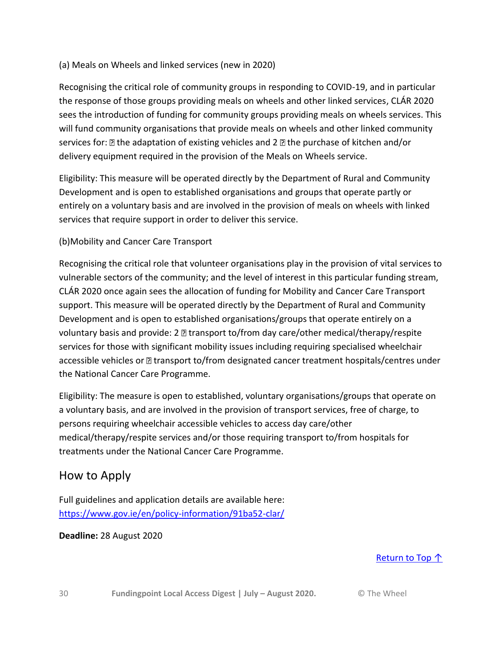#### (a) Meals on Wheels and linked services (new in 2020)

Recognising the critical role of community groups in responding to COVID-19, and in particular the response of those groups providing meals on wheels and other linked services, CLÁR 2020 sees the introduction of funding for community groups providing meals on wheels services. This will fund community organisations that provide meals on wheels and other linked community services for:  $\mathbb B$  the adaptation of existing vehicles and 2  $\mathbb B$  the purchase of kitchen and/or delivery equipment required in the provision of the Meals on Wheels service.

Eligibility: This measure will be operated directly by the Department of Rural and Community Development and is open to established organisations and groups that operate partly or entirely on a voluntary basis and are involved in the provision of meals on wheels with linked services that require support in order to deliver this service.

#### (b)Mobility and Cancer Care Transport

Recognising the critical role that volunteer organisations play in the provision of vital services to vulnerable sectors of the community; and the level of interest in this particular funding stream, CLÁR 2020 once again sees the allocation of funding for Mobility and Cancer Care Transport support. This measure will be operated directly by the Department of Rural and Community Development and is open to established organisations/groups that operate entirely on a voluntary basis and provide:  $2 \mathbb{Z}$  transport to/from day care/other medical/therapy/respite services for those with significant mobility issues including requiring specialised wheelchair accessible vehicles or **a** transport to/from designated cancer treatment hospitals/centres under the National Cancer Care Programme.

Eligibility: The measure is open to established, voluntary organisations/groups that operate on a voluntary basis, and are involved in the provision of transport services, free of charge, to persons requiring wheelchair accessible vehicles to access day care/other medical/therapy/respite services and/or those requiring transport to/from hospitals for treatments under the National Cancer Care Programme.

#### How to Apply

Full guidelines and application details are available here: <https://www.gov.ie/en/policy-information/91ba52-clar/>

#### **Deadline:** 28 August 2020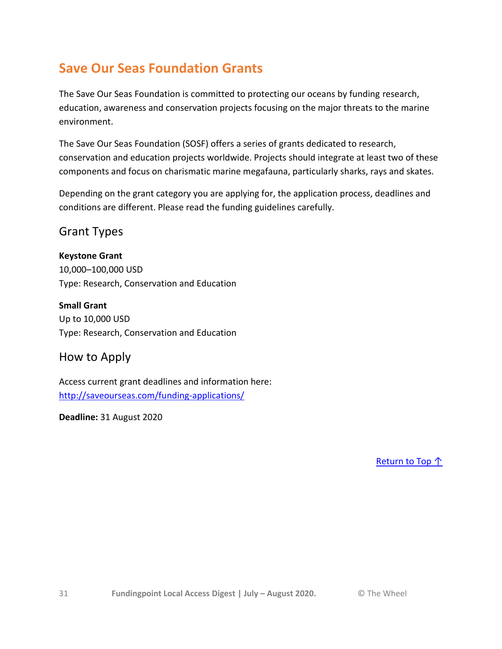## **Save Our Seas Foundation Grants**

The Save Our Seas Foundation is committed to protecting our oceans by funding research, education, awareness and conservation projects focusing on the major threats to the marine environment.

The Save Our Seas Foundation (SOSF) offers a series of grants dedicated to research, conservation and education projects worldwide. Projects should integrate at least two of these components and focus on charismatic marine megafauna, particularly sharks, rays and skates.

Depending on the grant category you are applying for, the application process, deadlines and conditions are different. Please read the funding guidelines carefully.

#### Grant Types

#### **Keystone Grant**

10,000–100,000 USD Type: Research, Conservation and Education

**Small Grant** Up to 10,000 USD Type: Research, Conservation and Education

#### How to Apply

Access current grant deadlines and information here: <http://saveourseas.com/funding-applications/>

**Deadline:** 31 August 2020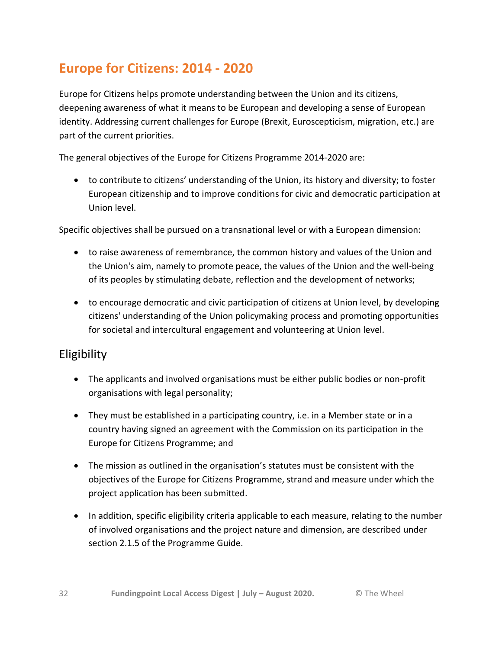## **Europe for Citizens: 2014 - 2020**

Europe for Citizens helps promote understanding between the Union and its citizens, deepening awareness of what it means to be European and developing a sense of European identity. Addressing current challenges for Europe (Brexit, Euroscepticism, migration, etc.) are part of the current priorities.

The general objectives of the Europe for Citizens Programme 2014-2020 are:

 to contribute to citizens' understanding of the Union, its history and diversity; to foster European citizenship and to improve conditions for civic and democratic participation at Union level.

Specific objectives shall be pursued on a transnational level or with a European dimension:

- to raise awareness of remembrance, the common history and values of the Union and the Union's aim, namely to promote peace, the values of the Union and the well-being of its peoples by stimulating debate, reflection and the development of networks;
- to encourage democratic and civic participation of citizens at Union level, by developing citizens' understanding of the Union policymaking process and promoting opportunities for societal and intercultural engagement and volunteering at Union level.

### Eligibility

- The applicants and involved organisations must be either public bodies or non-profit organisations with legal personality;
- They must be established in a participating country, i.e. in a Member state or in a country having signed an agreement with the Commission on its participation in the Europe for Citizens Programme; and
- The mission as outlined in the organisation's statutes must be consistent with the objectives of the Europe for Citizens Programme, strand and measure under which the project application has been submitted.
- In addition, specific eligibility criteria applicable to each measure, relating to the number of involved organisations and the project nature and dimension, are described under section 2.1.5 of the Programme Guide.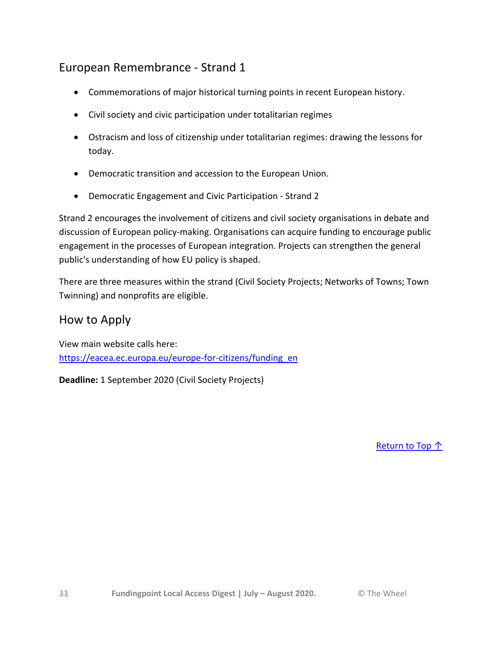### European Remembrance - Strand 1

- Commemorations of major historical turning points in recent European history.
- Civil society and civic participation under totalitarian regimes
- Ostracism and loss of citizenship under totalitarian regimes: drawing the lessons for today.
- Democratic transition and accession to the European Union.
- Democratic Engagement and Civic Participation Strand 2

Strand 2 encourages the involvement of citizens and civil society organisations in debate and discussion of European policy-making. Organisations can acquire funding to encourage public engagement in the processes of European integration. Projects can strengthen the general public's understanding of how EU policy is shaped.

There are three measures within the strand (Civil Society Projects; Networks of Towns; Town Twinning) and nonprofits are eligible.

#### How to Apply

View main website calls here: [https://eacea.ec.europa.eu/europe-for-citizens/funding\\_en](https://eacea.ec.europa.eu/europe-for-citizens/funding_en)

**Deadline:** 1 September 2020 (Civil Society Projects)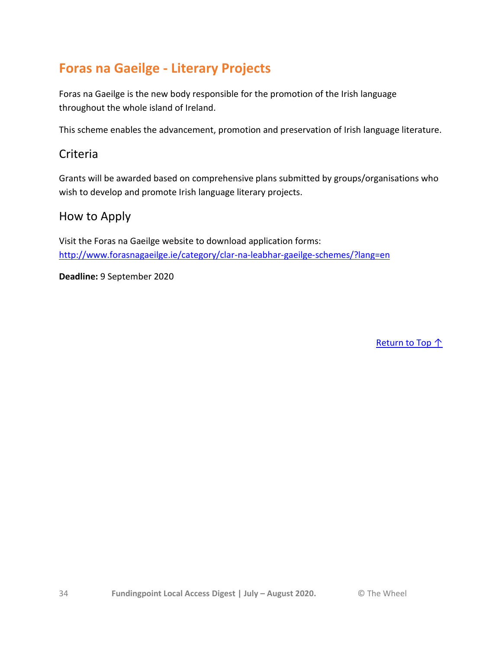## **Foras na Gaeilge - Literary Projects**

Foras na Gaeilge is the new body responsible for the promotion of the Irish language throughout the whole island of Ireland.

This scheme enables the advancement, promotion and preservation of Irish language literature.

#### Criteria

Grants will be awarded based on comprehensive plans submitted by groups/organisations who wish to develop and promote Irish language literary projects.

#### How to Apply

Visit the Foras na Gaeilge website to download application forms: <http://www.forasnagaeilge.ie/category/clar-na-leabhar-gaeilge-schemes/?lang=en>

**Deadline:** 9 September 2020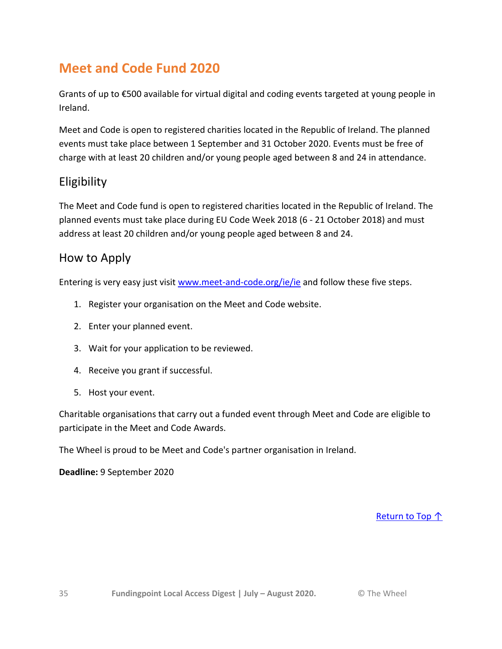## **Meet and Code Fund 2020**

Grants of up to €500 available for virtual digital and coding events targeted at young people in Ireland.

Meet and Code is open to registered charities located in the Republic of Ireland. The planned events must take place between 1 September and 31 October 2020. Events must be free of charge with at least 20 children and/or young people aged between 8 and 24 in attendance.

### Eligibility

The Meet and Code fund is open to registered charities located in the Republic of Ireland. The planned events must take place during EU Code Week 2018 (6 - 21 October 2018) and must address at least 20 children and/or young people aged between 8 and 24.

### How to Apply

Entering is very easy just visit [www.meet-and-code.org/ie/ie](http://www.meet-and-code.org/ie/ie) and follow these five steps.

- 1. Register your organisation on the Meet and Code website.
- 2. Enter your planned event.
- 3. Wait for your application to be reviewed.
- 4. Receive you grant if successful.
- 5. Host your event.

Charitable organisations that carry out a funded event through Meet and Code are eligible to participate in the Meet and Code Awards.

The Wheel is proud to be Meet and Code's partner organisation in Ireland.

**Deadline:** 9 September 2020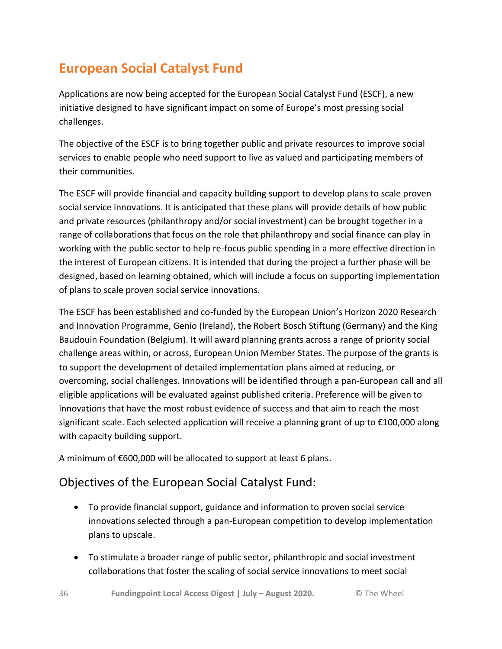## **European Social Catalyst Fund**

Applications are now being accepted for the European Social Catalyst Fund (ESCF), a new initiative designed to have significant impact on some of Europe's most pressing social challenges.

The objective of the ESCF is to bring together public and private resources to improve social services to enable people who need support to live as valued and participating members of their communities.

The ESCF will provide financial and capacity building support to develop plans to scale proven social service innovations. It is anticipated that these plans will provide details of how public and private resources (philanthropy and/or social investment) can be brought together in a range of collaborations that focus on the role that philanthropy and social finance can play in working with the public sector to help re-focus public spending in a more effective direction in the interest of European citizens. It is intended that during the project a further phase will be designed, based on learning obtained, which will include a focus on supporting implementation of plans to scale proven social service innovations.

The ESCF has been established and co-funded by the European Union's Horizon 2020 Research and Innovation Programme, Genio (Ireland), the Robert Bosch Stiftung (Germany) and the King Baudouin Foundation (Belgium). It will award planning grants across a range of priority social challenge areas within, or across, European Union Member States. The purpose of the grants is to support the development of detailed implementation plans aimed at reducing, or overcoming, social challenges. Innovations will be identified through a pan-European call and all eligible applications will be evaluated against published criteria. Preference will be given to innovations that have the most robust evidence of success and that aim to reach the most significant scale. Each selected application will receive a planning grant of up to €100,000 along with capacity building support.

A minimum of €600,000 will be allocated to support at least 6 plans.

### Objectives of the European Social Catalyst Fund:

- To provide financial support, guidance and information to proven social service innovations selected through a pan-European competition to develop implementation plans to upscale.
- To stimulate a broader range of public sector, philanthropic and social investment collaborations that foster the scaling of social service innovations to meet social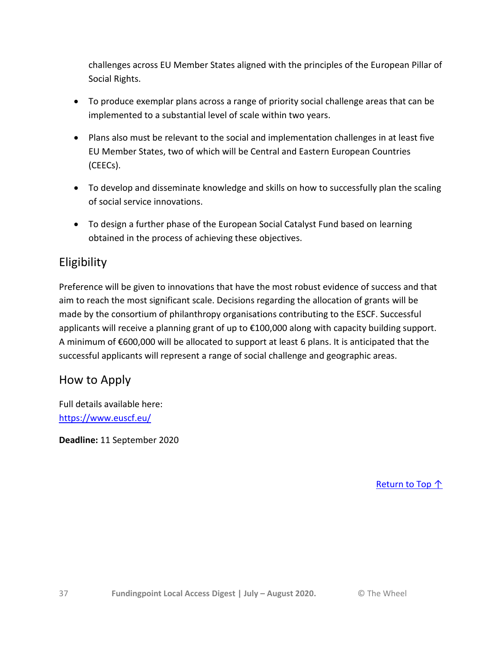challenges across EU Member States aligned with the principles of the European Pillar of Social Rights.

- To produce exemplar plans across a range of priority social challenge areas that can be implemented to a substantial level of scale within two years.
- Plans also must be relevant to the social and implementation challenges in at least five EU Member States, two of which will be Central and Eastern European Countries (CEECs).
- To develop and disseminate knowledge and skills on how to successfully plan the scaling of social service innovations.
- To design a further phase of the European Social Catalyst Fund based on learning obtained in the process of achieving these objectives.

### **Eligibility**

Preference will be given to innovations that have the most robust evidence of success and that aim to reach the most significant scale. Decisions regarding the allocation of grants will be made by the consortium of philanthropy organisations contributing to the ESCF. Successful applicants will receive a planning grant of up to €100,000 along with capacity building support. A minimum of €600,000 will be allocated to support at least 6 plans. It is anticipated that the successful applicants will represent a range of social challenge and geographic areas.

### How to Apply

Full details available here: <https://www.euscf.eu/>

**Deadline:** 11 September 2020